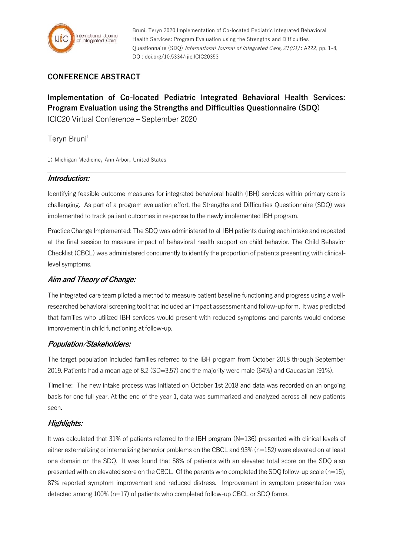

Bruni, Teryn 2020 Implementation of Co-located Pediatric Integrated Behavioral Health Services: Program Evaluation using the Strengths and Difficulties Questionnaire (SDQ) International Journal of Integrated Care, 21(S1) : A222, pp. 1-8, DOI: doi.org/10.5334/ijic.ICIC20353

# **CONFERENCE ABSTRACT**

**Implementation of Co-located Pediatric Integrated Behavioral Health Services: Program Evaluation using the Strengths and Difficulties Questionnaire (SDQ)** ICIC20 Virtual Conference – September 2020

Teryn Bruni<sup>1</sup>

1: Michigan Medicine, Ann Arbor, United States

## **Introduction:**

Identifying feasible outcome measures for integrated behavioral health (IBH) services within primary care is challenging. As part of a program evaluation effort, the Strengths and Difficulties Questionnaire (SDQ) was implemented to track patient outcomes in response to the newly implemented IBH program.

Practice Change Implemented: The SDQ was administered to all IBH patients during each intake and repeated at the final session to measure impact of behavioral health support on child behavior. The Child Behavior Checklist (CBCL) was administered concurrently to identify the proportion of patients presenting with clinicallevel symptoms.

## **Aim and Theory of Change:**

The integrated care team piloted a method to measure patient baseline functioning and progress using a wellresearched behavioral screening tool that included an impact assessment and follow-up form. It was predicted that families who utilized IBH services would present with reduced symptoms and parents would endorse improvement in child functioning at follow-up.

## **Population/Stakeholders:**

The target population included families referred to the IBH program from October 2018 through September 2019. Patients had a mean age of 8.2 (SD=3.57) and the majority were male (64%) and Caucasian (91%).

Timeline: The new intake process was initiated on October 1st 2018 and data was recorded on an ongoing basis for one full year. At the end of the year 1, data was summarized and analyzed across all new patients seen.

# **Highlights:**

It was calculated that 31% of patients referred to the IBH program (N=136) presented with clinical levels of either externalizing or internalizing behavior problems on the CBCL and 93% (n=152) were elevated on at least one domain on the SDQ. It was found that 58% of patients with an elevated total score on the SDQ also presented with an elevated score on the CBCL. Of the parents who completed the SDQ follow-up scale (n=15), 87% reported symptom improvement and reduced distress. Improvement in symptom presentation was detected among 100% (n=17) of patients who completed follow-up CBCL or SDQ forms.